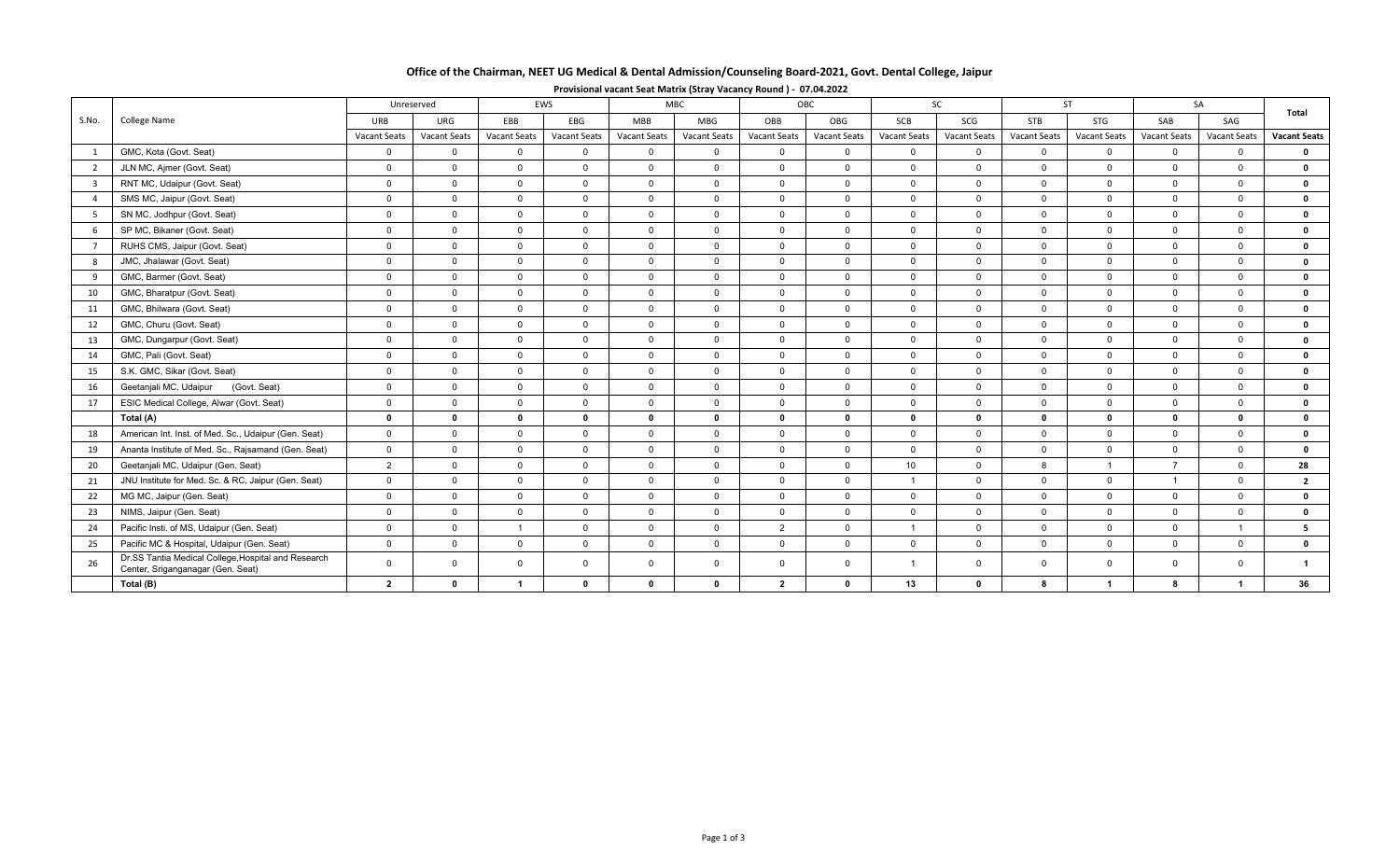| Office of the Chairman, NEET UG Medical & Dental Admission/Counseling Board-2021, Govt. Dental College, Jaipur |
|----------------------------------------------------------------------------------------------------------------|
|----------------------------------------------------------------------------------------------------------------|

|                         |                                                                                          |                | Unreserved          | EWS          |                     |                | <b>MBC</b>     |                     | OBC            |                     | SC             |                | <b>ST</b>           |                     | SA                  | Total               |
|-------------------------|------------------------------------------------------------------------------------------|----------------|---------------------|--------------|---------------------|----------------|----------------|---------------------|----------------|---------------------|----------------|----------------|---------------------|---------------------|---------------------|---------------------|
| S.No.                   | <b>College Name</b>                                                                      | <b>URB</b>     | URG                 | EBB          | EBG                 | <b>MBB</b>     | <b>MBG</b>     | OBB                 | OBG            | SCB                 | SCG            | <b>STB</b>     | STG                 | SAB                 | SAG                 |                     |
|                         |                                                                                          | Vacant Seats   | <b>Vacant Seats</b> | Vacant Seats | <b>Vacant Seats</b> | Vacant Seats   | Vacant Seats   | <b>Vacant Seats</b> | Vacant Seats   | <b>Vacant Seats</b> | Vacant Seats   | Vacant Seats   | <b>Vacant Seats</b> | <b>Vacant Seats</b> | <b>Vacant Seats</b> | <b>Vacant Seats</b> |
| $\overline{1}$          | GMC, Kota (Govt. Seat)                                                                   | $\overline{0}$ | $\Omega$            | $\mathbf{0}$ | $\mathbf 0$         | $\mathbf 0$    | $\overline{0}$ | $\mathbf{0}$        | $\mathbf{0}$   | $\mathbf{0}$        | $\overline{0}$ | $\Omega$       | $\Omega$            | $\Omega$            | $\Omega$            | $\mathbf 0$         |
| 2                       | JLN MC, Ajmer (Govt. Seat)                                                               | $\overline{0}$ | $\Omega$            | $\mathbf 0$  | $\Omega$            | $\mathbf 0$    | $\overline{0}$ | $\Omega$            | $\Omega$       | $\Omega$            | $\Omega$       | $\Omega$       | $\Omega$            | $\Omega$            | $\Omega$            | $\mathbf{0}$        |
| $\overline{\mathbf{3}}$ | RNT MC, Udaipur (Govt. Seat)                                                             | $\overline{0}$ | $\Omega$            | $\mathbf 0$  | $\mathbf 0$         | $\mathbf 0$    | $\mathbf 0$    | $\overline{0}$      | $\Omega$       | $\mathbf{0}$        | $\mathbf{0}$   | $\Omega$       | $\Omega$            | $\Omega$            | $\Omega$            | $\mathbf 0$         |
| $\overline{a}$          | SMS MC, Jaipur (Govt. Seat)                                                              | $\mathbf 0$    | $\Omega$            | $\mathbf 0$  | $\Omega$            | $\mathbf 0$    | $\mathbf 0$    | $\overline{0}$      | $\mathbf 0$    | $\mathbf{0}$        | $\Omega$       | $\Omega$       | $\Omega$            | $\Omega$            | $\Omega$            | $\mathbf 0$         |
| 5                       | SN MC, Jodhpur (Govt. Seat)                                                              | $\mathbf 0$    | $\Omega$            | $\mathbf 0$  | $\overline{0}$      | $\mathbf 0$    | $\overline{0}$ | $\overline{0}$      | $\Omega$       | $\mathbf{0}$        | $\mathbf 0$    | $\Omega$       | $\mathbf{0}$        | $\Omega$            | $\mathbf 0$         | $\mathbf 0$         |
| 6                       | SP MC, Bikaner (Govt. Seat)                                                              | $\overline{0}$ | $\Omega$            | $\mathbf{0}$ | $\Omega$            | $\mathbf 0$    | $\mathbf 0$    | $\overline{0}$      | $\Omega$       | $\mathbf{0}$        | $\Omega$       | $\Omega$       | $\Omega$            | $\Omega$            | $\mathbf{0}$        | $\mathbf 0$         |
| $\overline{7}$          | RUHS CMS, Jaipur (Govt. Seat)                                                            | $\overline{0}$ | $\Omega$            | $\mathbf 0$  | $\Omega$            | $\mathbf 0$    | $\overline{0}$ | $\overline{0}$      | $\Omega$       | $\mathbf{0}$        | $\mathbf{0}$   | $\mathbf{0}$   | $\overline{0}$      | $\Omega$            | $\mathbf 0$         | $\mathbf 0$         |
| 8                       | JMC, Jhalawar (Govt. Seat)                                                               | $\overline{0}$ | $\Omega$            | $\mathbf{0}$ | $\mathbf 0$         | $\mathbf 0$    | $\mathbf{0}$   | $\mathbf 0$         | $\overline{0}$ | $\mathbf{0}$        | $\mathbf{0}$   | $\mathbf{0}$   | $\overline{0}$      | $\Omega$            | $\mathbf{0}$        | $\mathbf 0$         |
| 9                       | GMC, Barmer (Govt. Seat)                                                                 | $\overline{0}$ | $\Omega$            | $\mathbf 0$  | $\Omega$            | $\mathbf 0$    | $\mathbf 0$    | $\overline{0}$      | $\mathbf 0$    | $\mathbf{0}$        | $\overline{0}$ | $\mathbf{0}$   | $\Omega$            | $\Omega$            | $\Omega$            | $\mathbf 0$         |
| 10 <sup>10</sup>        | GMC, Bharatpur (Govt. Seat)                                                              | $\overline{0}$ | $\Omega$            | $\mathbf{0}$ | $\mathbf 0$         | $\overline{0}$ | $\overline{0}$ | $\overline{0}$      | $\Omega$       | $\mathbf{0}$        | $\Omega$       | $\Omega$       | $\overline{0}$      | $\Omega$            | $\Omega$            | $\mathbf 0$         |
| 11                      | GMC, Bhilwara (Govt. Seat)                                                               | $\mathbf 0$    | $\Omega$            | $\mathbf 0$  | $\mathbf 0$         | $\mathbf 0$    | $\mathbf{0}$   | $\mathbf 0$         | $\Omega$       | $\mathbf{0}$        | $\mathbf{0}$   | $\Omega$       | $\overline{0}$      | $\Omega$            | $\Omega$            | $\mathbf 0$         |
| 12                      | GMC, Churu (Govt. Seat)                                                                  | $\overline{0}$ | $\Omega$            | $\mathbf{0}$ | $\mathbf{0}$        | $\mathbf 0$    | $\overline{0}$ | $\overline{0}$      | $\overline{0}$ | $\mathbf{0}$        | $\mathbf{0}$   | $\mathbf{0}$   | $\mathbf 0$         | $\Omega$            | $\Omega$            | $\mathbf 0$         |
| 13                      | GMC, Dungarpur (Govt. Seat)                                                              | $\mathbf 0$    | $\Omega$            | $\mathbf 0$  | $\overline{0}$      | $\mathbf 0$    | $\overline{0}$ | $\overline{0}$      | $\Omega$       | $\mathbf{0}$        | $\mathbf 0$    | $\Omega$       | $\mathbf{0}$        | $\Omega$            | $\Omega$            | $\mathbf 0$         |
| 14                      | GMC, Pali (Govt. Seat)                                                                   | $\overline{0}$ | $\Omega$            | $\mathbf 0$  | $\mathbf{0}$        | $\mathbf 0$    | $\overline{0}$ | $\overline{0}$      | $\Omega$       | $\Omega$            | $\Omega$       | $\Omega$       | $\Omega$            | $\Omega$            | $\Omega$            | $\mathbf 0$         |
| 15                      | S.K. GMC, Sikar (Govt. Seat)                                                             | $\overline{0}$ | $\Omega$            | $\Omega$     | $\Omega$            | $\mathbf 0$    | $\overline{0}$ | $\overline{0}$      | $\Omega$       | $\Omega$            | $\Omega$       | $\Omega$       | $\Omega$            | $\Omega$            | $\Omega$            | $\mathbf 0$         |
| 16                      | Geetanjali MC, Udaipur<br>(Govt. Seat)                                                   | $\overline{0}$ | $\Omega$            | $\mathbf 0$  | $\Omega$            | $\mathbf 0$    | $\overline{0}$ | $\overline{0}$      | $\mathbf 0$    | $\mathbf{0}$        | $\mathbf{0}$   | $\Omega$       | $\overline{0}$      | $\Omega$            | $\mathbf 0$         | $\mathbf 0$         |
| 17                      | ESIC Medical College, Alwar (Govt. Seat)                                                 | $\mathbf 0$    | $\Omega$            | $\mathbf 0$  | $\mathbf 0$         | $\mathbf 0$    | $\mathbf{0}$   | $\overline{0}$      | $\mathbf 0$    | $\mathbf{0}$        | $\mathbf{0}$   | $\mathbf{0}$   | $\mathbf 0$         | $\Omega$            | $\Omega$            | $\mathbf 0$         |
|                         | Total (A)                                                                                | $\Omega$       | $\mathbf{0}$        | $\mathbf{0}$ | $\mathbf{0}$        | $\mathbf{0}$   | $\mathbf{0}$   | $\mathbf{0}$        | $\mathbf{0}$   | $\mathbf{0}$        | $\mathbf{0}$   | $\mathbf{0}$   | $\mathbf{0}$        | $\Omega$            | $\mathbf{0}$        | $\mathbf{0}$        |
| 18                      | American Int. Inst. of Med. Sc., Udaipur (Gen. Seat)                                     | $\mathbf{0}$   | $\Omega$            | $\mathbf{0}$ | $\mathbf 0$         | $\mathbf 0$    | $\overline{0}$ | $\overline{0}$      | $\Omega$       | $\Omega$            | $\Omega$       | $\Omega$       | $\Omega$            | $\Omega$            | $\Omega$            | $\mathbf 0$         |
| 19                      | Ananta Institute of Med. Sc., Rajsamand (Gen. Seat)                                      | $\overline{0}$ | $\Omega$            | $\mathbf 0$  | $\mathbf 0$         | $\mathbf 0$    | $\overline{0}$ | $\overline{0}$      | $\mathbf 0$    | $\Omega$            | $\mathbf{0}$   | $\overline{0}$ | $\overline{0}$      | $\Omega$            | $\Omega$            | $\mathbf 0$         |
| 20                      | Geetanjali MC, Udaipur (Gen. Seat)                                                       | $\overline{2}$ | $\Omega$            | $\mathsf{O}$ | $\overline{0}$      | $\overline{0}$ | $\overline{0}$ | $\mathbf 0$         | $\mathbf 0$    | 10                  | $\mathbf{0}$   | 8              | $\overline{1}$      | $\overline{7}$      | $\mathbf 0$         | 28                  |
| 21                      | JNU Institute for Med. Sc. & RC, Jaipur (Gen. Seat)                                      | $\mathbf{0}$   | $\Omega$            | $\mathbf 0$  | $\overline{0}$      | $\mathbf 0$    | $\overline{0}$ | $\overline{0}$      | $\Omega$       |                     | $\Omega$       | $\Omega$       | $\Omega$            | $\overline{1}$      | $\Omega$            | $\overline{2}$      |
| 22                      | MG MC, Jaipur (Gen. Seat)                                                                | $\overline{0}$ | $\Omega$            | $\mathbf 0$  | $\mathbf 0$         | $\mathbf 0$    | $\overline{0}$ | $\overline{0}$      | $\Omega$       | $\mathbf{0}$        | $\mathbf 0$    | $\Omega$       | $\overline{0}$      | $\Omega$            | $\mathbf 0$         | $\mathbf 0$         |
| 23                      | NIMS, Jaipur (Gen. Seat)                                                                 | $\overline{0}$ | $\Omega$            | $\mathbf 0$  | $\Omega$            | $\mathbf 0$    | $\mathbf 0$    | $\overline{0}$      | $\Omega$       | $\mathbf{0}$        | $\mathbf{0}$   | $\mathbf{0}$   | $\overline{0}$      | $\Omega$            | $\mathbf{0}$        | $\mathbf 0$         |
| 24                      | Pacific Insti. of MS, Udaipur (Gen. Seat)                                                | $\Omega$       | $\Omega$            |              | $\Omega$            | $\mathbf 0$    | $\overline{0}$ | 2                   | $\Omega$       |                     | $\Omega$       | $\mathbf{0}$   | $\Omega$            | $\Omega$            |                     | 5                   |
| 25                      | Pacific MC & Hospital, Udaipur (Gen. Seat)                                               | $\overline{0}$ | $\Omega$            | $\Omega$     | $\overline{0}$      | $\overline{0}$ | $\overline{0}$ | $\overline{0}$      | $\Omega$       | $\Omega$            | $\Omega$       | $\Omega$       | $\Omega$            | $\Omega$            | $\Omega$            | $\mathbf 0$         |
| 26                      | Dr.SS Tantia Medical College, Hospital and Research<br>Center, Sriganganagar (Gen. Seat) | $\overline{0}$ | $\overline{0}$      | $\mathsf{O}$ | $\Omega$            | $\mathbf 0$    | $\mathbf{0}$   | $\mathbf 0$         | $\mathsf{O}$   |                     | $\mathbf{0}$   | $\mathbf{0}$   | $\Omega$            | $\Omega$            | $\Omega$            |                     |
|                         | Total (B)                                                                                | $\overline{2}$ | $\mathbf{0}$        | $\mathbf{1}$ | 0                   | $\mathbf 0$    | $\mathbf 0$    | $\overline{2}$      | $\mathbf{0}$   | 13                  | $\mathbf{0}$   | 8              | $\overline{1}$      | -8                  | -1                  | 36                  |

**Provisional vacant Seat Matrix (Stray Vacancy Round ) ‐ 07.04.2022**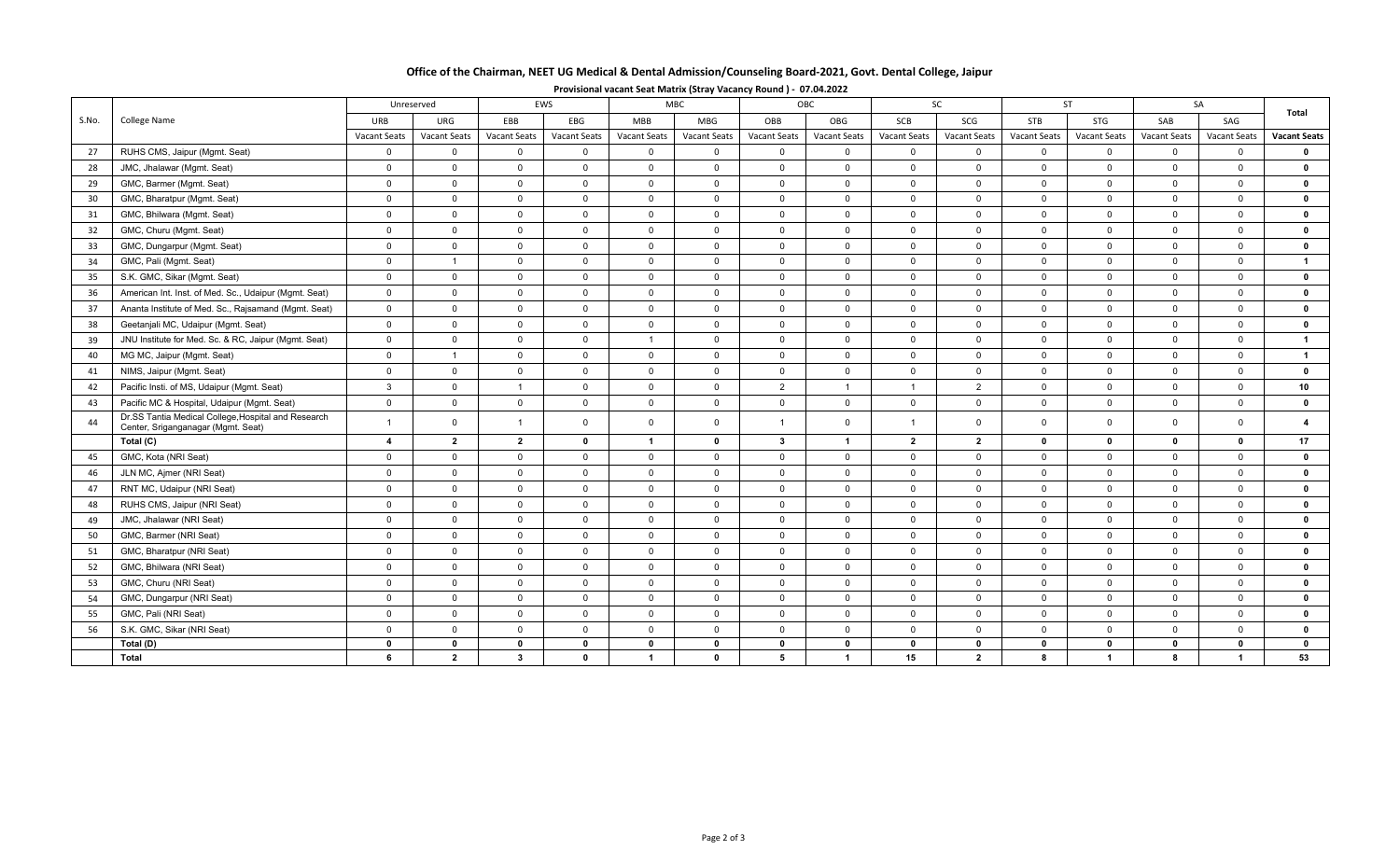| Office of the Chairman, NEET UG Medical & Dental Admission/Counseling Board-2021, Govt. Dental College, Jaipur |
|----------------------------------------------------------------------------------------------------------------|
|----------------------------------------------------------------------------------------------------------------|

|       |                                                                                           |                         | Unreserved          |                     | EWS            |                         | <b>MBC</b>          |                     | <b>OBC</b>              |                     | <b>SC</b>           |                | <b>ST</b>    | SA                  |                         |                     |
|-------|-------------------------------------------------------------------------------------------|-------------------------|---------------------|---------------------|----------------|-------------------------|---------------------|---------------------|-------------------------|---------------------|---------------------|----------------|--------------|---------------------|-------------------------|---------------------|
| S.No. | College Name                                                                              | <b>URB</b>              | URG                 | <b>EBB</b>          | EBG            | <b>MBB</b>              | MBG                 | OBB                 | OBG                     | SCB                 | SCG                 | STB            | STG          | SAB                 | SAG                     | Total               |
|       |                                                                                           | <b>Vacant Seats</b>     | <b>Vacant Seats</b> | <b>Vacant Seats</b> | Vacant Seats   | Vacant Seats            | <b>Vacant Seats</b> | <b>Vacant Seats</b> | <b>Vacant Seats</b>     | <b>Vacant Seats</b> | <b>Vacant Seats</b> | Vacant Seats   | Vacant Seats | <b>Vacant Seats</b> | Vacant Seats            | <b>Vacant Seats</b> |
| 27    | RUHS CMS, Jaipur (Mgmt. Seat)                                                             | $\mathbf 0$             | $\mathbf{0}$        | $\overline{0}$      | $\mathbf{0}$   | $\mathbf 0$             | $\mathbf{0}$        | $\mathbf{0}$        | $\overline{0}$          | $\mathbf 0$         | $\mathbf{0}$        | $\overline{0}$ | $\mathbf 0$  | $\mathbf 0$         | $\mathbf 0$             | $\mathbf 0$         |
| 28    | JMC, Jhalawar (Mgmt. Seat)                                                                | $\mathbf 0$             | $\mathbf{0}$        | $\overline{0}$      | $\overline{0}$ | $\mathbf 0$             | $\mathbf{0}$        | $\mathbf 0$         | $\Omega$                | $\Omega$            | $\mathbf{0}$        | $\overline{0}$ | $\Omega$     | $\mathbf 0$         | $\Omega$                | $\mathbf 0$         |
| 29    | GMC, Barmer (Mgmt. Seat)                                                                  | $\overline{0}$          | $\mathbf 0$         | $\overline{0}$      | $\overline{0}$ | $\overline{0}$          | $\Omega$            | $\Omega$            | $\Omega$                | $\Omega$            | $\Omega$            | $\Omega$       | $\Omega$     | $\Omega$            | $\Omega$                | $\mathbf{0}$        |
| 30    | GMC, Bharatpur (Mgmt. Seat)                                                               | $\mathbf 0$             | $\mathbf 0$         | $\overline{0}$      | $\overline{0}$ | $\overline{0}$          | $\overline{0}$      | $\Omega$            | $\Omega$                | $\Omega$            | $\mathbf 0$         | $\mathbf 0$    | $\Omega$     | $\Omega$            | $\Omega$                | $\mathbf{0}$        |
| 31    | GMC, Bhilwara (Mgmt. Seat)                                                                | $\overline{0}$          | $\mathbf{0}$        | $\overline{0}$      | $\overline{0}$ | $\overline{0}$          | $\mathbf{0}$        | $\overline{0}$      | $\overline{0}$          | $\mathbf{0}$        | $\mathbf{0}$        | $\overline{0}$ | $\Omega$     | $\Omega$            | $\Omega$                | $\mathbf{0}$        |
| 32    | GMC, Churu (Mgmt. Seat)                                                                   | $\overline{0}$          | $\mathbf 0$         | $\overline{0}$      | $\overline{0}$ | $\mathbf 0$             | $\mathbf{0}$        | $\overline{0}$      | $\overline{0}$          | $\mathbf{0}$        | $\mathbf 0$         | $\mathbf 0$    | $\Omega$     | $\Omega$            | $\Omega$                | $\mathbf{0}$        |
| 33    | GMC, Dungarpur (Mgmt. Seat)                                                               | $\overline{0}$          | $\mathbf{0}$        | $\mathbf 0$         | $\overline{0}$ | $\overline{0}$          | $\mathbf{0}$        | $\overline{0}$      | $\overline{0}$          | $\mathbf 0$         | $\mathbf 0$         | $\overline{0}$ | $\mathbf 0$  | $\mathbf 0$         | $\mathbf{0}$            | $\mathbf 0$         |
| 34    | GMC, Pali (Mgmt. Seat)                                                                    | $\overline{0}$          | $\overline{1}$      | $\overline{0}$      | $\overline{0}$ | $\mathbf 0$             | $\overline{0}$      | $\overline{0}$      | $\overline{0}$          | $\overline{0}$      | $\mathbf 0$         | $\mathbf 0$    | $\mathbf 0$  | $\mathbf 0$         | $\mathbf{0}$            | $\overline{1}$      |
| 35    | S.K. GMC, Sikar (Mgmt. Seat)                                                              | $\mathbf 0$             | $\mathbf 0$         | $\mathbf 0$         | $\mathbf 0$    | $\mathbf 0$             | $\overline{0}$      | $\overline{0}$      | $\overline{0}$          | $\mathbf 0$         | $\mathbf 0$         | $\overline{0}$ | $\mathbf 0$  | $\mathbf 0$         | $\mathbf{0}$            | $\mathbf 0$         |
| 36    | American Int. Inst. of Med. Sc., Udaipur (Mgmt. Seat)                                     | $\overline{0}$          | $\mathbf 0$         | $\mathbf 0$         | $\overline{0}$ | $\mathbf 0$             | $\mathbf{0}$        | $\mathbf 0$         | $\overline{0}$          | $\overline{0}$      | $\mathbf 0$         | $\mathbf 0$    | $\mathbf 0$  | $\Omega$            | $\Omega$                | $\mathbf{0}$        |
| 37    | Ananta Institute of Med. Sc., Rajsamand (Mgmt. Seat)                                      | $\overline{0}$          | $\mathbf 0$         | $\mathbf 0$         | $\mathbf 0$    | $\mathbf 0$             | $\overline{0}$      | $\mathbf 0$         | $\overline{0}$          | $\overline{0}$      | $\mathbf 0$         | $\mathbf 0$    | $\mathbf 0$  | $\mathbf 0$         | $\Omega$                | $\mathbf 0$         |
| 38    | Geetanjali MC, Udaipur (Mgmt. Seat)                                                       | $\overline{0}$          | $\mathbf 0$         | $\overline{0}$      | $\mathbf 0$    | $\mathbf 0$             | $\overline{0}$      | $\mathbf 0$         | $\overline{0}$          | $\overline{0}$      | $\mathbf 0$         | $\mathbf 0$    | $\mathbf 0$  | $\Omega$            | $\Omega$                | $\mathbf 0$         |
| 39    | JNU Institute for Med. Sc. & RC, Jaipur (Mgmt. Seat)                                      | $\overline{0}$          | $\mathbf 0$         | $\mathbf 0$         | $\mathbf 0$    | $\overline{1}$          | $\overline{0}$      | $\mathbf 0$         | $\overline{0}$          | $\mathbf 0$         | $\mathbf{0}$        | $\mathbf 0$    | $\mathbf 0$  | $\mathbf 0$         | $\mathbf 0$             | $\mathbf{1}$        |
| 40    | MG MC, Jaipur (Mgmt. Seat)                                                                | $\mathbf 0$             | $\overline{1}$      | $\mathbf 0$         | $\mathbf 0$    | $\mathsf 0$             | $\mathbf 0$         | $\overline{0}$      | $\mathbf 0$             | $\mathbf 0$         | $\mathbf 0$         | $\mathbf 0$    | $\mathbf 0$  | $\mathbf 0$         | $\mathbf 0$             | $\mathbf{1}$        |
| 41    | NIMS, Jaipur (Mgmt. Seat)                                                                 | $\mathbf 0$             | $\mathbf 0$         | $\mathbf 0$         | $\mathbf 0$    | $\mathbf 0$             | $\mathbf{0}$        | $\mathbf 0$         | $\mathbf 0$             | $\overline{0}$      | $\mathbf 0$         | $\mathbf 0$    | $\mathbf 0$  | $\mathbf 0$         | $\mathbf 0$             | $\mathbf 0$         |
| 42    | Pacific Insti. of MS, Udaipur (Mgmt. Seat)                                                | $\mathbf{3}$            | $\mathbf 0$         | $\mathbf{1}$        | $\overline{0}$ | $\mathbf 0$             | $\mathbf{0}$        | $\overline{2}$      | $\overline{1}$          | $\overline{1}$      | $\overline{2}$      | $\overline{0}$ | $\mathbf 0$  | $\mathbf 0$         | $\mathbf 0$             | 10                  |
| 43    | Pacific MC & Hospital, Udaipur (Mgmt. Seat)                                               | $\overline{0}$          | $\mathbf 0$         | $\mathbf 0$         | $\mathbf 0$    | $\mathbf 0$             | $\mathbf{0}$        | $\overline{0}$      | $\mathbf{0}$            | $\mathbf 0$         | $\mathbf{0}$        | $\overline{0}$ | $\mathbf 0$  | $\mathbf 0$         | $\mathbf{0}$            | $\mathbf 0$         |
| 44    | Dr.SS Tantia Medical College, Hospital and Research<br>Center, Sriganganagar (Mgmt. Seat) | $\overline{1}$          | $\Omega$            | $\mathbf{1}$        | $\mathbf 0$    | $\mathbf 0$             | $\mathbf{0}$        | $\mathbf{1}$        | $\mathbf 0$             | $\overline{1}$      | $\Omega$            | $\Omega$       | $\Omega$     | $\Omega$            | $\Omega$                | $\overline{4}$      |
|       | Total (C)                                                                                 | $\overline{\mathbf{4}}$ | $\mathbf{2}$        | $\overline{2}$      | $\mathbf 0$    | $\mathbf{1}$            | $\mathbf 0$         | $\mathbf{3}$        | $\overline{1}$          | $\mathbf{2}$        | $\mathbf{2}$        | $\mathbf 0$    | $\mathbf{0}$ | $\mathbf 0$         | $\mathbf{0}$            | 17                  |
| 45    | GMC, Kota (NRI Seat)                                                                      | $\overline{0}$          | $\mathbf 0$         | $\mathbf 0$         | $\mathbf 0$    | $\mathsf{O}$            | $\mathbf 0$         | $\overline{0}$      | $\mathbf 0$             | $\mathbf{0}$        | $\mathbf 0$         | $\mathbf 0$    | $\mathbf 0$  | $\mathbf 0$         | $\Omega$                | $\mathbf 0$         |
| 46    | JLN MC, Ajmer (NRI Seat)                                                                  | $\mathbf 0$             | $\mathbf 0$         | $\mathbf 0$         | $\mathbf 0$    | $\mathbf 0$             | $\mathbf{0}$        | $\overline{0}$      | $\mathbf 0$             | $\mathbf 0$         | $\mathbf 0$         | $\mathbf 0$    | $\mathbf 0$  | $\mathbf 0$         | $\mathbf{0}$            | $\mathbf 0$         |
| 47    | RNT MC, Udaipur (NRI Seat)                                                                | $\mathbf 0$             | $\mathbf 0$         | $\overline{0}$      | $\overline{0}$ | $\mathbf 0$             | $\overline{0}$      | $\mathbf 0$         | $\mathbf 0$             | $\overline{0}$      | $\overline{0}$      | $\mathbf 0$    | $\mathbf 0$  | $\mathbf 0$         | $\mathbf 0$             | $\mathbf 0$         |
| 48    | RUHS CMS, Jaipur (NRI Seat)                                                               | $\mathbf 0$             | $\mathbf 0$         | $\mathbf 0$         | $\mathbf 0$    | $\mathbf 0$             | $\mathbf 0$         | $\mathbf 0$         | $\mathbf 0$             | $\overline{0}$      | $\mathbf 0$         | $\mathbf 0$    | $\mathbf 0$  | $\mathbf 0$         | $\mathbf 0$             | $\mathbf 0$         |
| 49    | JMC, Jhalawar (NRI Seat)                                                                  | $\mathbf 0$             | $\mathbf 0$         | $\mathbf 0$         | $\overline{0}$ | $\mathbf 0$             | $\overline{0}$      | $\mathbf 0$         | $\overline{0}$          | $\overline{0}$      | $\mathbf 0$         | $\mathbf 0$    | $\mathbf 0$  | $\mathbf 0$         | $\mathbf 0$             | $\mathbf 0$         |
| 50    | GMC, Barmer (NRI Seat)                                                                    | $\overline{0}$          | $\mathbf 0$         | $\mathbf 0$         | $\overline{0}$ | $\mathbf 0$             | $\mathbf{0}$        | $\Omega$            | $\overline{0}$          | $\Omega$            | $\mathbf 0$         | $\overline{0}$ | $\Omega$     | $\Omega$            | $\Omega$                | $\mathbf{0}$        |
| 51    | GMC, Bharatpur (NRI Seat)                                                                 | $\overline{0}$          | $\mathbf{0}$        | $\mathbf 0$         | $\overline{0}$ | $\overline{0}$          | $\mathbf{0}$        | $\Omega$            | $\mathbf 0$             | $\mathbf{0}$        | $\mathbf{0}$        | $\overline{0}$ | $\mathbf 0$  | $\mathbf 0$         | $\Omega$                | $\mathbf{0}$        |
| 52    | GMC, Bhilwara (NRI Seat)                                                                  | $\overline{0}$          | $\mathbf{0}$        | $\mathbf 0$         | $\overline{0}$ | $\mathbf 0$             | $\mathbf{0}$        | $\mathbf{0}$        | $\mathbf{0}$            | $\mathbf 0$         | $\mathbf{0}$        | $\overline{0}$ | $\Omega$     | $\Omega$            | $\Omega$                | $\mathbf 0$         |
| 53    | GMC, Churu (NRI Seat)                                                                     | $\overline{0}$          | $\mathbf{0}$        | $\mathbf 0$         | $\mathbf 0$    | $\mathbf 0$             | $\mathbf{0}$        | $\Omega$            | $\overline{0}$          | $\mathbf 0$         | $\mathbf{0}$        | $\mathbf 0$    | $\mathbf 0$  | $\mathbf 0$         | $\mathbf 0$             | $\mathbf 0$         |
| 54    | GMC, Dungarpur (NRI Seat)                                                                 | $\mathbf 0$             | $\mathbf{0}$        | $\mathbf 0$         | $\mathbf 0$    | $\mathbf 0$             | $\overline{0}$      | $\overline{0}$      | $\overline{0}$          | $\mathbf 0$         | $\mathbf{0}$        | $\overline{0}$ | $\mathbf 0$  | $\mathbf 0$         | $\mathbf{0}$            | $\mathbf 0$         |
| 55    | GMC, Pali (NRI Seat)                                                                      | $\overline{0}$          | $\mathbf{0}$        | $\overline{0}$      | $\mathbf 0$    | $\mathbf 0$             | $\mathbf{0}$        | $\mathbf 0$         | $\mathbf 0$             | $\mathbf 0$         | $\mathbf{0}$        | $\overline{0}$ | $\Omega$     | $\mathbf 0$         | $\mathbf 0$             | $\mathbf 0$         |
| 56    | S.K. GMC, Sikar (NRI Seat)                                                                | $\overline{0}$          | $\mathbf{0}$        | $\mathbf 0$         | $\overline{0}$ | $\mathbf 0$             | $\overline{0}$      | $\mathbf 0$         | $\mathbf 0$             | $\mathbf 0$         | $\mathbf{0}$        | $\overline{0}$ | $\mathbf 0$  | $\mathbf 0$         | $\mathbf 0$             | $\mathbf 0$         |
|       | Total (D)                                                                                 | $\mathbf 0$             | $\mathbf 0$         | $\mathbf 0$         | $\mathbf 0$    | $\mathbf 0$             | $\mathbf{0}$        | $\mathbf{0}$        | $\mathbf 0$             | $\mathbf 0$         | $\mathbf{0}$        | $\mathbf 0$    | $\mathbf 0$  | $\mathbf{0}$        | 0                       | $\mathbf 0$         |
|       | Total                                                                                     | 6                       | $\overline{2}$      | $\mathbf{3}$        | $\mathbf 0$    | $\overline{\mathbf{1}}$ | $\mathbf{0}$        | 5                   | $\overline{\mathbf{1}}$ | 15                  | $\overline{2}$      | 8              | $\mathbf{1}$ | 8                   | $\overline{\mathbf{1}}$ | 53                  |

**Provisional vacant Seat Matrix (Stray Vacancy Round ) ‐ 07.04.2022**